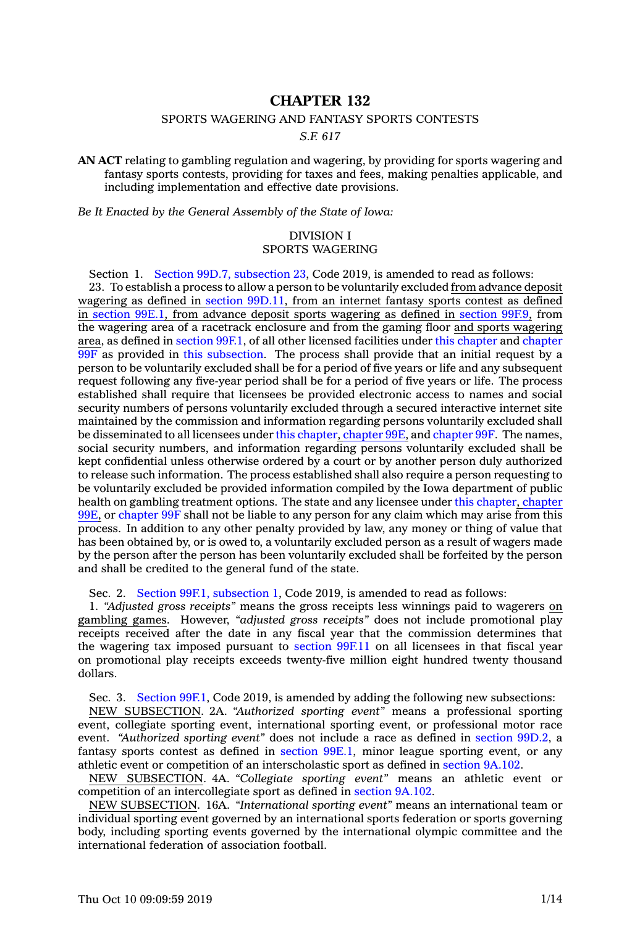# **CHAPTER 132**

## SPORTS WAGERING AND FANTASY SPORTS CONTESTS

*S.F. 617*

**AN ACT** relating to gambling regulation and wagering, by providing for sports wagering and fantasy sports contests, providing for taxes and fees, making penalties applicable, and including implementation and effective date provisions.

*Be It Enacted by the General Assembly of the State of Iowa:*

## DIVISION I SPORTS WAGERING

Section 1. Section 99D.7, [subsection](https://www.legis.iowa.gov/docs/code/2019/99D.7.pdf) 23, Code 2019, is amended to read as follows: 23. To establish <sup>a</sup> process to allow <sup>a</sup> person to be voluntarily excluded from advance deposit wagering as defined in section [99D.11](https://www.legis.iowa.gov/docs/code/2019/99D.11.pdf), from an internet fantasy sports contest as defined in [section](https://www.legis.iowa.gov/docs/code/2019/99E.1.pdf) 99E.1, from advance deposit sports wagering as defined in [section](https://www.legis.iowa.gov/docs/code/2019/99F.9.pdf) 99F.9, from the wagering area of <sup>a</sup> racetrack enclosure and from the gaming floor and sports wagering area, as defined in [section](https://www.legis.iowa.gov/docs/code/2019/99F.1.pdf) 99F.1, of all other licensed facilities under this [chapter](https://www.legis.iowa.gov/docs/code/2019/99D.pdf) and [chapter](https://www.legis.iowa.gov/docs/code/2019/99F.pdf)  $\overline{99F}$  $\overline{99F}$  $\overline{99F}$  as provided in this [subsection](https://www.legis.iowa.gov/docs/code/2019/99D.7.pdf). The process shall provide that an initial request by a person to be voluntarily excluded shall be for <sup>a</sup> period of five years or life and any subsequent request following any five-year period shall be for <sup>a</sup> period of five years or life. The process established shall require that licensees be provided electronic access to names and social security numbers of persons voluntarily excluded through <sup>a</sup> secured interactive internet site maintained by the commission and information regarding persons voluntarily excluded shall be disseminated to all licensees under this [chapter](https://www.legis.iowa.gov/docs/code/2019/99D.pdf), [chapter](https://www.legis.iowa.gov/docs/code/2019/99E.pdf) 99E, and [chapter](https://www.legis.iowa.gov/docs/code/2019/99F.pdf) 99F. The names, social security numbers, and information regarding persons voluntarily excluded shall be kept confidential unless otherwise ordered by <sup>a</sup> court or by another person duly authorized to release such information. The process established shall also require <sup>a</sup> person requesting to be voluntarily excluded be provided information compiled by the Iowa department of public health on gambling treatment options. The state and any licensee under this [chapter](https://www.legis.iowa.gov/docs/code/2019/99D.pdf), [chapter](https://www.legis.iowa.gov/docs/code/2019/99E.pdf) [99E](https://www.legis.iowa.gov/docs/code/2019/99E.pdf), or [chapter](https://www.legis.iowa.gov/docs/code/2019/99F.pdf) 99F shall not be liable to any person for any claim which may arise from this process. In addition to any other penalty provided by law, any money or thing of value that has been obtained by, or is owed to, <sup>a</sup> voluntarily excluded person as <sup>a</sup> result of wagers made by the person after the person has been voluntarily excluded shall be forfeited by the person and shall be credited to the general fund of the state.

Sec. 2. Section 99F.1, [subsection](https://www.legis.iowa.gov/docs/code/2019/99F.1.pdf) 1, Code 2019, is amended to read as follows:

1. *"Adjusted gross receipts"* means the gross receipts less winnings paid to wagerers on gambling games. However, *"adjusted gross receipts"* does not include promotional play receipts received after the date in any fiscal year that the commission determines that the wagering tax imposed pursuant to [section](https://www.legis.iowa.gov/docs/code/2019/99F.11.pdf) 99F.11 on all licensees in that fiscal year on promotional play receipts exceeds twenty-five million eight hundred twenty thousand dollars.

Sec. 3. [Section](https://www.legis.iowa.gov/docs/code/2019/99F.1.pdf) 99F.1, Code 2019, is amended by adding the following new subsections:

NEW SUBSECTION. 2A. *"Authorized sporting event"* means <sup>a</sup> professional sporting event, collegiate sporting event, international sporting event, or professional motor race event. *"Authorized sporting event"* does not include <sup>a</sup> race as defined in [section](https://www.legis.iowa.gov/docs/code/2019/99D.2.pdf) 99D.2, <sup>a</sup> fantasy sports contest as defined in [section](https://www.legis.iowa.gov/docs/code/2019/99E.1.pdf) 99E.1, minor league sporting event, or any athletic event or competition of an interscholastic sport as defined in section [9A.102](https://www.legis.iowa.gov/docs/code/2019/9A.102.pdf).

NEW SUBSECTION. 4A. *"Collegiate sporting event"* means an athletic event or competition of an intercollegiate sport as defined in [section](https://www.legis.iowa.gov/docs/code/2019/9A.102.pdf) 9A.102.

NEW SUBSECTION. 16A. *"International sporting event"* means an international team or individual sporting event governed by an international sports federation or sports governing body, including sporting events governed by the international olympic committee and the international federation of association football.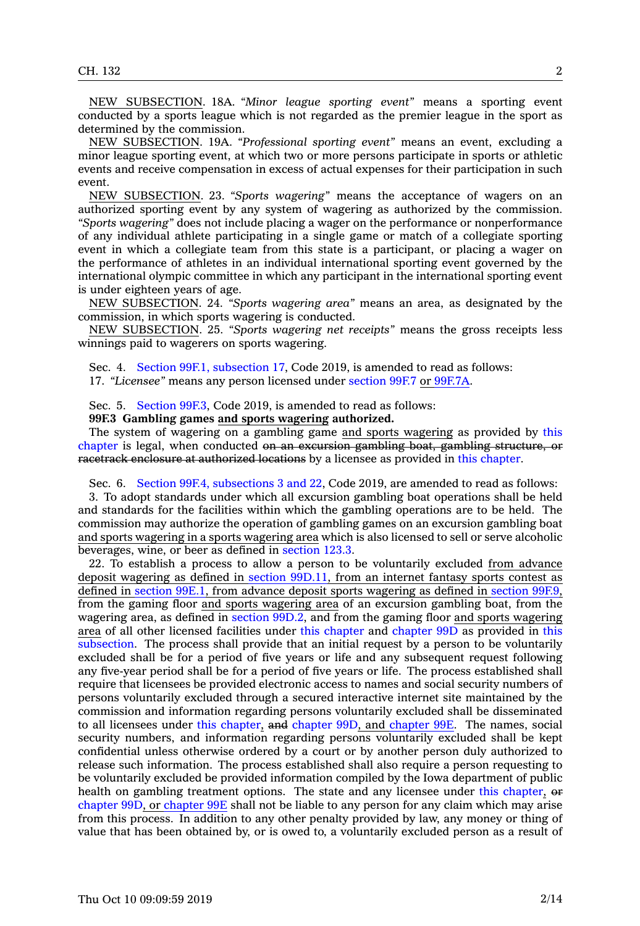NEW SUBSECTION. 18A. *"Minor league sporting event"* means <sup>a</sup> sporting event conducted by <sup>a</sup> sports league which is not regarded as the premier league in the sport as determined by the commission.

NEW SUBSECTION. 19A. *"Professional sporting event"* means an event, excluding <sup>a</sup> minor league sporting event, at which two or more persons participate in sports or athletic events and receive compensation in excess of actual expenses for their participation in such event.

NEW SUBSECTION. 23. *"Sports wagering"* means the acceptance of wagers on an authorized sporting event by any system of wagering as authorized by the commission. *"Sports wagering"* does not include placing <sup>a</sup> wager on the performance or nonperformance of any individual athlete participating in <sup>a</sup> single game or match of <sup>a</sup> collegiate sporting event in which <sup>a</sup> collegiate team from this state is <sup>a</sup> participant, or placing <sup>a</sup> wager on the performance of athletes in an individual international sporting event governed by the international olympic committee in which any participant in the international sporting event is under eighteen years of age.

NEW SUBSECTION. 24. *"Sports wagering area"* means an area, as designated by the commission, in which sports wagering is conducted.

NEW SUBSECTION. 25. *"Sports wagering net receipts"* means the gross receipts less winnings paid to wagerers on sports wagering.

Sec. 4. Section 99F.1, [subsection](https://www.legis.iowa.gov/docs/code/2019/99F.1.pdf) 17, Code 2019, is amended to read as follows: 17. *"Licensee"* means any person licensed under [section](https://www.legis.iowa.gov/docs/code/2019/99F.7.pdf) 99F.7 or [99F.7A](https://www.legis.iowa.gov/docs/code/2019/99F.7A.pdf).

Sec. 5. [Section](https://www.legis.iowa.gov/docs/code/2019/99F.3.pdf) 99F.3, Code 2019, is amended to read as follows:

**99F.3 Gambling games and sports wagering authorized.**

The system of wagering on <sup>a</sup> gambling game and sports wagering as provided by [this](https://www.legis.iowa.gov/docs/code/2019/99F.pdf) [chapter](https://www.legis.iowa.gov/docs/code/2019/99F.pdf) is legal, when conducted on an excursion gambling boat, gambling structure, or racetrack enclosure at authorized locations by <sup>a</sup> licensee as provided in this [chapter](https://www.legis.iowa.gov/docs/code/2019/99F.pdf).

Sec. 6. Section 99F.4, [subsections](https://www.legis.iowa.gov/docs/code/2019/99F.4.pdf) 3 and 22, Code 2019, are amended to read as follows:

3. To adopt standards under which all excursion gambling boat operations shall be held and standards for the facilities within which the gambling operations are to be held. The commission may authorize the operation of gambling games on an excursion gambling boat and sports wagering in <sup>a</sup> sports wagering area which is also licensed to sell or serve alcoholic beverages, wine, or beer as defined in [section](https://www.legis.iowa.gov/docs/code/2019/123.3.pdf) 123.3.

22. To establish <sup>a</sup> process to allow <sup>a</sup> person to be voluntarily excluded from advance deposit wagering as defined in section [99D.11](https://www.legis.iowa.gov/docs/code/2019/99D.11.pdf), from an internet fantasy sports contest as defined in [section](https://www.legis.iowa.gov/docs/code/2019/99E.1.pdf) 99E.1, from advance deposit sports wagering as defined in [section](https://www.legis.iowa.gov/docs/code/2019/99F.9.pdf) 99F.9, from the gaming floor and sports wagering area of an excursion gambling boat, from the wagering area, as defined in section [99D.2](https://www.legis.iowa.gov/docs/code/2019/99D.2.pdf), and from the gaming floor and sports wagering area of all other licensed facilities under this [chapter](https://www.legis.iowa.gov/docs/code/2019/99F.pdf) and [chapter](https://www.legis.iowa.gov/docs/code/2019/99D.pdf) 99D as provided in [this](https://www.legis.iowa.gov/docs/code/2019/99F.4.pdf) [subsection](https://www.legis.iowa.gov/docs/code/2019/99F.4.pdf). The process shall provide that an initial request by <sup>a</sup> person to be voluntarily excluded shall be for <sup>a</sup> period of five years or life and any subsequent request following any five-year period shall be for <sup>a</sup> period of five years or life. The process established shall require that licensees be provided electronic access to names and social security numbers of persons voluntarily excluded through <sup>a</sup> secured interactive internet site maintained by the commission and information regarding persons voluntarily excluded shall be disseminated to all licensees under this [chapter](https://www.legis.iowa.gov/docs/code/2019/99F.pdf), and [chapter](https://www.legis.iowa.gov/docs/code/2019/99D.pdf) 99D, and [chapter](https://www.legis.iowa.gov/docs/code/2019/99E.pdf) 99E. The names, social security numbers, and information regarding persons voluntarily excluded shall be kept confidential unless otherwise ordered by <sup>a</sup> court or by another person duly authorized to release such information. The process established shall also require <sup>a</sup> person requesting to be voluntarily excluded be provided information compiled by the Iowa department of public health on gambling treatment options. The state and any licensee under this [chapter](https://www.legis.iowa.gov/docs/code/2019/99F.pdf), or [chapter](https://www.legis.iowa.gov/docs/code/2019/99D.pdf) 99D, or [chapter](https://www.legis.iowa.gov/docs/code/2019/99E.pdf) 99E shall not be liable to any person for any claim which may arise from this process. In addition to any other penalty provided by law, any money or thing of value that has been obtained by, or is owed to, <sup>a</sup> voluntarily excluded person as <sup>a</sup> result of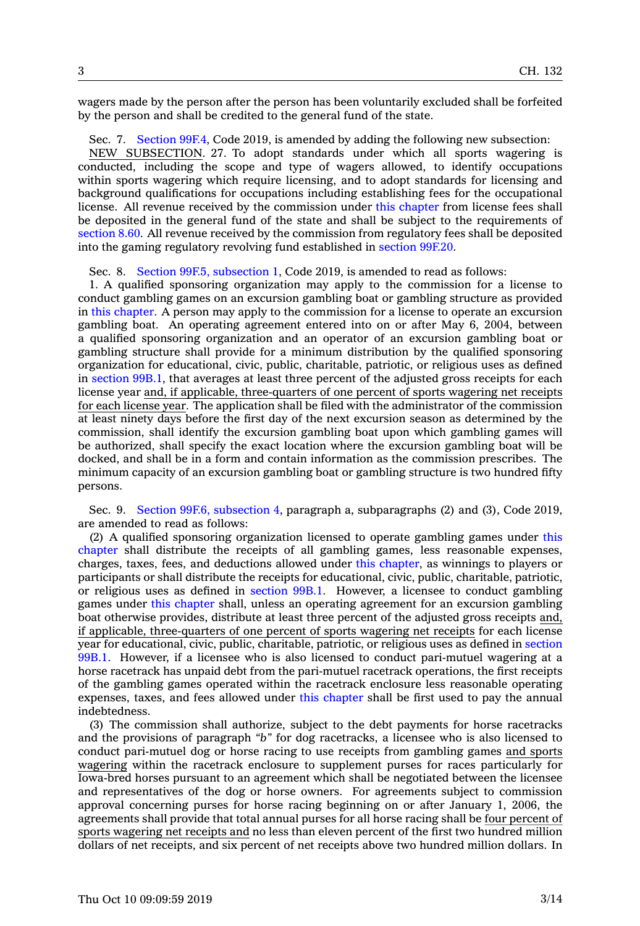wagers made by the person after the person has been voluntarily excluded shall be forfeited by the person and shall be credited to the general fund of the state.

Sec. 7. [Section](https://www.legis.iowa.gov/docs/code/2019/99F.4.pdf) 99F.4, Code 2019, is amended by adding the following new subsection:

NEW SUBSECTION. 27. To adopt standards under which all sports wagering is conducted, including the scope and type of wagers allowed, to identify occupations within sports wagering which require licensing, and to adopt standards for licensing and background qualifications for occupations including establishing fees for the occupational license. All revenue received by the commission under this [chapter](https://www.legis.iowa.gov/docs/code/2019/99F.pdf) from license fees shall be deposited in the general fund of the state and shall be subject to the requirements of [section](https://www.legis.iowa.gov/docs/code/2019/8.60.pdf) 8.60. All revenue received by the commission from regulatory fees shall be deposited into the gaming regulatory revolving fund established in [section](https://www.legis.iowa.gov/docs/code/2019/99F.20.pdf) 99F.20.

Sec. 8. Section 99F.5, [subsection](https://www.legis.iowa.gov/docs/code/2019/99F.5.pdf) 1, Code 2019, is amended to read as follows:

1. A qualified sponsoring organization may apply to the commission for <sup>a</sup> license to conduct gambling games on an excursion gambling boat or gambling structure as provided in this [chapter](https://www.legis.iowa.gov/docs/code/2019/99F.pdf). A person may apply to the commission for <sup>a</sup> license to operate an excursion gambling boat. An operating agreement entered into on or after May 6, 2004, between <sup>a</sup> qualified sponsoring organization and an operator of an excursion gambling boat or gambling structure shall provide for <sup>a</sup> minimum distribution by the qualified sponsoring organization for educational, civic, public, charitable, patriotic, or religious uses as defined in [section](https://www.legis.iowa.gov/docs/code/2019/99B.1.pdf) 99B.1, that averages at least three percent of the adjusted gross receipts for each license year and, if applicable, three-quarters of one percent of sports wagering net receipts for each license year. The application shall be filed with the administrator of the commission at least ninety days before the first day of the next excursion season as determined by the commission, shall identify the excursion gambling boat upon which gambling games will be authorized, shall specify the exact location where the excursion gambling boat will be docked, and shall be in <sup>a</sup> form and contain information as the commission prescribes. The minimum capacity of an excursion gambling boat or gambling structure is two hundred fifty persons.

Sec. 9. Section 99F.6, [subsection](https://www.legis.iowa.gov/docs/code/2019/99F.6.pdf) 4, paragraph a, subparagraphs (2) and (3), Code 2019, are amended to read as follows:

(2) A qualified sponsoring organization licensed to operate gambling games under [this](https://www.legis.iowa.gov/docs/code/2019/99F.pdf) [chapter](https://www.legis.iowa.gov/docs/code/2019/99F.pdf) shall distribute the receipts of all gambling games, less reasonable expenses, charges, taxes, fees, and deductions allowed under this [chapter](https://www.legis.iowa.gov/docs/code/2019/99F.pdf), as winnings to players or participants or shall distribute the receipts for educational, civic, public, charitable, patriotic, or religious uses as defined in [section](https://www.legis.iowa.gov/docs/code/2019/99B.1.pdf) 99B.1. However, <sup>a</sup> licensee to conduct gambling games under this [chapter](https://www.legis.iowa.gov/docs/code/2019/99F.pdf) shall, unless an operating agreement for an excursion gambling boat otherwise provides, distribute at least three percent of the adjusted gross receipts and, if applicable, three-quarters of one percent of sports wagering net receipts for each license year for educational, civic, public, charitable, patriotic, or religious uses as defined in [section](https://www.legis.iowa.gov/docs/code/2019/99B.1.pdf) [99B.1](https://www.legis.iowa.gov/docs/code/2019/99B.1.pdf). However, if <sup>a</sup> licensee who is also licensed to conduct pari-mutuel wagering at <sup>a</sup> horse racetrack has unpaid debt from the pari-mutuel racetrack operations, the first receipts of the gambling games operated within the racetrack enclosure less reasonable operating expenses, taxes, and fees allowed under this [chapter](https://www.legis.iowa.gov/docs/code/2019/99F.pdf) shall be first used to pay the annual indebtedness.

(3) The commission shall authorize, subject to the debt payments for horse racetracks and the provisions of paragraph *"b"* for dog racetracks, <sup>a</sup> licensee who is also licensed to conduct pari-mutuel dog or horse racing to use receipts from gambling games and sports wagering within the racetrack enclosure to supplement purses for races particularly for Iowa-bred horses pursuant to an agreement which shall be negotiated between the licensee and representatives of the dog or horse owners. For agreements subject to commission approval concerning purses for horse racing beginning on or after January 1, 2006, the agreements shall provide that total annual purses for all horse racing shall be four percent of sports wagering net receipts and no less than eleven percent of the first two hundred million dollars of net receipts, and six percent of net receipts above two hundred million dollars. In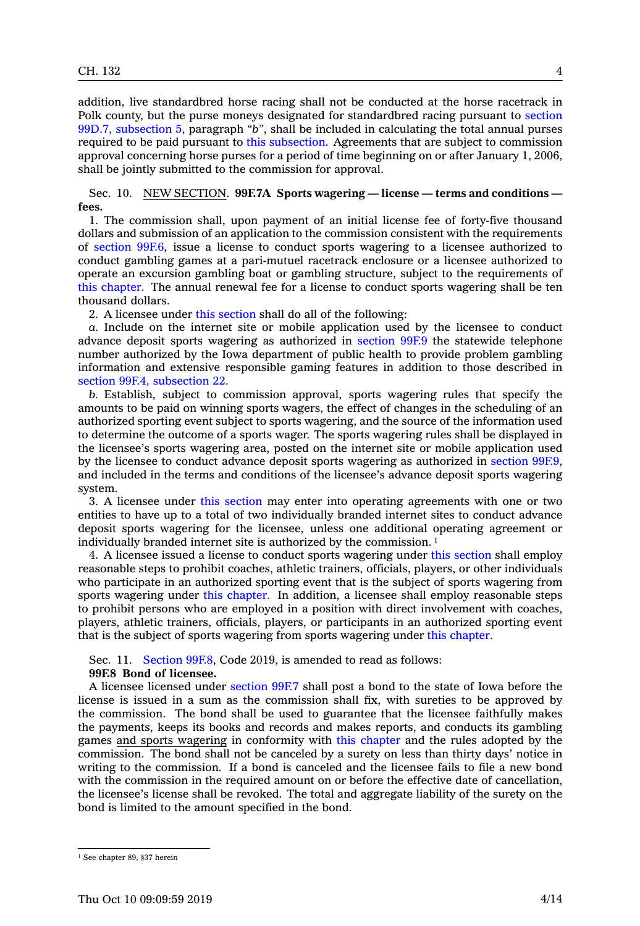addition, live standardbred horse racing shall not be conducted at the horse racetrack in Polk county, but the purse moneys designated for standardbred racing pursuant to [section](https://www.legis.iowa.gov/docs/code/2019/99D.7.pdf) 99D.7, [subsection](https://www.legis.iowa.gov/docs/code/2019/99D.7.pdf) 5, paragraph *"b"*, shall be included in calculating the total annual purses required to be paid pursuant to this [subsection](https://www.legis.iowa.gov/docs/code/2019/99F.6.pdf). Agreements that are subject to commission approval concerning horse purses for <sup>a</sup> period of time beginning on or after January 1, 2006, shall be jointly submitted to the commission for approval.

Sec. 10. NEW SECTION. **99F.7A Sports wagering — license — terms and conditions fees.**

1. The commission shall, upon payment of an initial license fee of forty-five thousand dollars and submission of an application to the commission consistent with the requirements of [section](https://www.legis.iowa.gov/docs/code/2019/99F.6.pdf) 99F.6, issue <sup>a</sup> license to conduct sports wagering to <sup>a</sup> licensee authorized to conduct gambling games at <sup>a</sup> pari-mutuel racetrack enclosure or <sup>a</sup> licensee authorized to operate an excursion gambling boat or gambling structure, subject to the requirements of this [chapter](https://www.legis.iowa.gov/docs/code/2019/99F.pdf). The annual renewal fee for <sup>a</sup> license to conduct sports wagering shall be ten thousand dollars.

2. A licensee under this [section](https://www.legis.iowa.gov/docs/code/2019/99F.7A.pdf) shall do all of the following:

*a.* Include on the internet site or mobile application used by the licensee to conduct advance deposit sports wagering as authorized in [section](https://www.legis.iowa.gov/docs/code/2019/99F.9.pdf) 99F.9 the statewide telephone number authorized by the Iowa department of public health to provide problem gambling information and extensive responsible gaming features in addition to those described in section 99F.4, [subsection](https://www.legis.iowa.gov/docs/code/2019/99F.4.pdf) 22.

*b.* Establish, subject to commission approval, sports wagering rules that specify the amounts to be paid on winning sports wagers, the effect of changes in the scheduling of an authorized sporting event subject to sports wagering, and the source of the information used to determine the outcome of <sup>a</sup> sports wager. The sports wagering rules shall be displayed in the licensee's sports wagering area, posted on the internet site or mobile application used by the licensee to conduct advance deposit sports wagering as authorized in [section](https://www.legis.iowa.gov/docs/code/2019/99F.9.pdf) 99F.9, and included in the terms and conditions of the licensee's advance deposit sports wagering system.

3. A licensee under this [section](https://www.legis.iowa.gov/docs/code/2019/99F.7A.pdf) may enter into operating agreements with one or two entities to have up to <sup>a</sup> total of two individually branded internet sites to conduct advance deposit sports wagering for the licensee, unless one additional operating agreement or individually branded internet site is authorized by the commission. <sup>1</sup>

4. A licensee issued <sup>a</sup> license to conduct sports wagering under this [section](https://www.legis.iowa.gov/docs/code/2019/99F.7A.pdf) shall employ reasonable steps to prohibit coaches, athletic trainers, officials, players, or other individuals who participate in an authorized sporting event that is the subject of sports wagering from sports wagering under this [chapter](https://www.legis.iowa.gov/docs/code/2019/99F.pdf). In addition, <sup>a</sup> licensee shall employ reasonable steps to prohibit persons who are employed in <sup>a</sup> position with direct involvement with coaches, players, athletic trainers, officials, players, or participants in an authorized sporting event that is the subject of sports wagering from sports wagering under this [chapter](https://www.legis.iowa.gov/docs/code/2019/99F.pdf).

Sec. 11. [Section](https://www.legis.iowa.gov/docs/code/2019/99F.8.pdf) 99F.8, Code 2019, is amended to read as follows:

## **99F.8 Bond of licensee.**

A licensee licensed under [section](https://www.legis.iowa.gov/docs/code/2019/99F.7.pdf) 99F.7 shall post <sup>a</sup> bond to the state of Iowa before the license is issued in <sup>a</sup> sum as the commission shall fix, with sureties to be approved by the commission. The bond shall be used to guarantee that the licensee faithfully makes the payments, keeps its books and records and makes reports, and conducts its gambling games and sports wagering in conformity with this [chapter](https://www.legis.iowa.gov/docs/code/2019/99F.pdf) and the rules adopted by the commission. The bond shall not be canceled by <sup>a</sup> surety on less than thirty days' notice in writing to the commission. If <sup>a</sup> bond is canceled and the licensee fails to file <sup>a</sup> new bond with the commission in the required amount on or before the effective date of cancellation, the licensee's license shall be revoked. The total and aggregate liability of the surety on the bond is limited to the amount specified in the bond.

<sup>1</sup> See chapter 89, §37 herein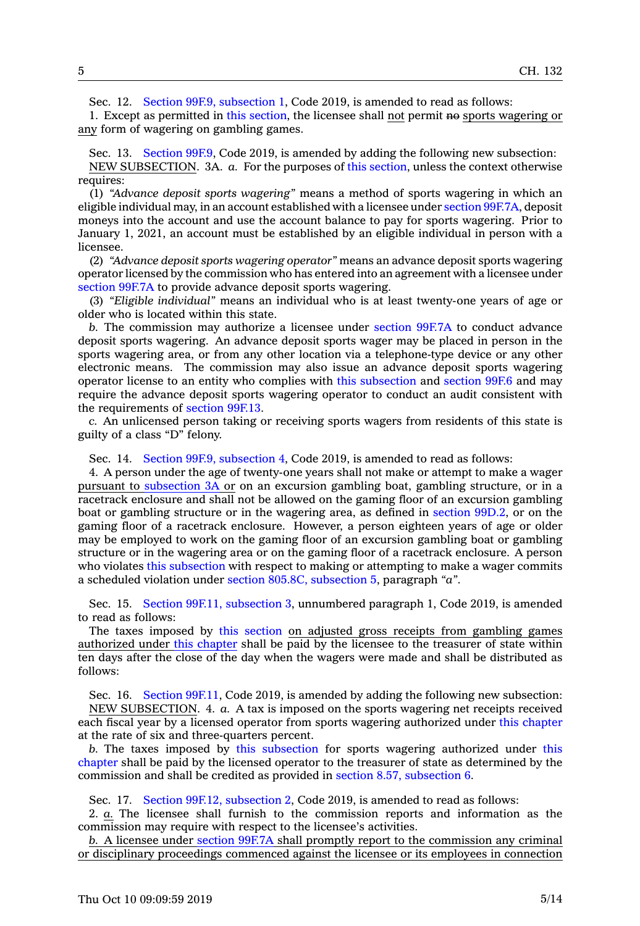Sec. 12. Section 99F.9, [subsection](https://www.legis.iowa.gov/docs/code/2019/99F.9.pdf) 1, Code 2019, is amended to read as follows:

1. Except as permitted in this [section](https://www.legis.iowa.gov/docs/code/2019/99F.9.pdf), the licensee shall not permit no sports wagering or any form of wagering on gambling games.

Sec. 13. [Section](https://www.legis.iowa.gov/docs/code/2019/99F.9.pdf) 99F.9, Code 2019, is amended by adding the following new subsection: NEW SUBSECTION. 3A. *a.* For the purposes of this [section](https://www.legis.iowa.gov/docs/code/2019/99F.9.pdf), unless the context otherwise requires:

(1) *"Advance deposit sports wagering"* means <sup>a</sup> method of sports wagering in which an eligible individual may, in an account established with <sup>a</sup> licensee under section [99F.7A](https://www.legis.iowa.gov/docs/code/2019/99F.7A.pdf), deposit moneys into the account and use the account balance to pay for sports wagering. Prior to January 1, 2021, an account must be established by an eligible individual in person with <sup>a</sup> licensee.

(2) *"Advance deposit sports wagering operator"* means an advance deposit sports wagering operator licensed by the commission who has entered into an agreement with <sup>a</sup> licensee under [section](https://www.legis.iowa.gov/docs/code/2019/99F.7A.pdf) 99F.7A to provide advance deposit sports wagering.

(3) *"Eligible individual"* means an individual who is at least twenty-one years of age or older who is located within this state.

*b.* The commission may authorize <sup>a</sup> licensee under [section](https://www.legis.iowa.gov/docs/code/2019/99F.7A.pdf) 99F.7A to conduct advance deposit sports wagering. An advance deposit sports wager may be placed in person in the sports wagering area, or from any other location via <sup>a</sup> telephone-type device or any other electronic means. The commission may also issue an advance deposit sports wagering operator license to an entity who complies with this [subsection](https://www.legis.iowa.gov/docs/code/2019/99F.9.pdf) and [section](https://www.legis.iowa.gov/docs/code/2019/99F.6.pdf) 99F.6 and may require the advance deposit sports wagering operator to conduct an audit consistent with the requirements of [section](https://www.legis.iowa.gov/docs/code/2019/99F.13.pdf) 99F.13.

*c.* An unlicensed person taking or receiving sports wagers from residents of this state is guilty of <sup>a</sup> class "D" felony.

Sec. 14. Section 99F.9, [subsection](https://www.legis.iowa.gov/docs/code/2019/99F.9.pdf) 4, Code 2019, is amended to read as follows:

4. A person under the age of twenty-one years shall not make or attempt to make <sup>a</sup> wager pursuant to [subsection](https://www.legis.iowa.gov/docs/code/2019/99F.9.pdf) 3A or on an excursion gambling boat, gambling structure, or in <sup>a</sup> racetrack enclosure and shall not be allowed on the gaming floor of an excursion gambling boat or gambling structure or in the wagering area, as defined in [section](https://www.legis.iowa.gov/docs/code/2019/99D.2.pdf) 99D.2, or on the gaming floor of <sup>a</sup> racetrack enclosure. However, <sup>a</sup> person eighteen years of age or older may be employed to work on the gaming floor of an excursion gambling boat or gambling structure or in the wagering area or on the gaming floor of <sup>a</sup> racetrack enclosure. A person who violates this [subsection](https://www.legis.iowa.gov/docs/code/2019/99F.9.pdf) with respect to making or attempting to make <sup>a</sup> wager commits <sup>a</sup> scheduled violation under section 805.8C, [subsection](https://www.legis.iowa.gov/docs/code/2019/805.8C.pdf) 5, paragraph *"a"*.

Sec. 15. Section 99F.11, [subsection](https://www.legis.iowa.gov/docs/code/2019/99F.11.pdf) 3, unnumbered paragraph 1, Code 2019, is amended to read as follows:

The taxes imposed by this [section](https://www.legis.iowa.gov/docs/code/2019/99F.11.pdf) on adjusted gross receipts from gambling games authorized under this [chapter](https://www.legis.iowa.gov/docs/code/2019/99F.pdf) shall be paid by the licensee to the treasurer of state within ten days after the close of the day when the wagers were made and shall be distributed as follows:

Sec. 16. Section [99F.11](https://www.legis.iowa.gov/docs/code/2019/99F.11.pdf), Code 2019, is amended by adding the following new subsection: NEW SUBSECTION. 4. *a.* A tax is imposed on the sports wagering net receipts received each fiscal year by <sup>a</sup> licensed operator from sports wagering authorized under this [chapter](https://www.legis.iowa.gov/docs/code/2019/99F.pdf) at the rate of six and three-quarters percent.

*b.* The taxes imposed by this [subsection](https://www.legis.iowa.gov/docs/code/2019/99F.11.pdf) for sports wagering authorized under [this](https://www.legis.iowa.gov/docs/code/2019/99F.pdf) [chapter](https://www.legis.iowa.gov/docs/code/2019/99F.pdf) shall be paid by the licensed operator to the treasurer of state as determined by the commission and shall be credited as provided in section 8.57, [subsection](https://www.legis.iowa.gov/docs/code/2019/8.57.pdf) 6.

Sec. 17. Section 99F.12, [subsection](https://www.legis.iowa.gov/docs/code/2019/99F.12.pdf) 2, Code 2019, is amended to read as follows:

2. *a.* The licensee shall furnish to the commission reports and information as the commission may require with respect to the licensee's activities.

*b.* A licensee under [section](https://www.legis.iowa.gov/docs/code/2019/99F.7A.pdf) 99F.7A shall promptly report to the commission any criminal or disciplinary proceedings commenced against the licensee or its employees in connection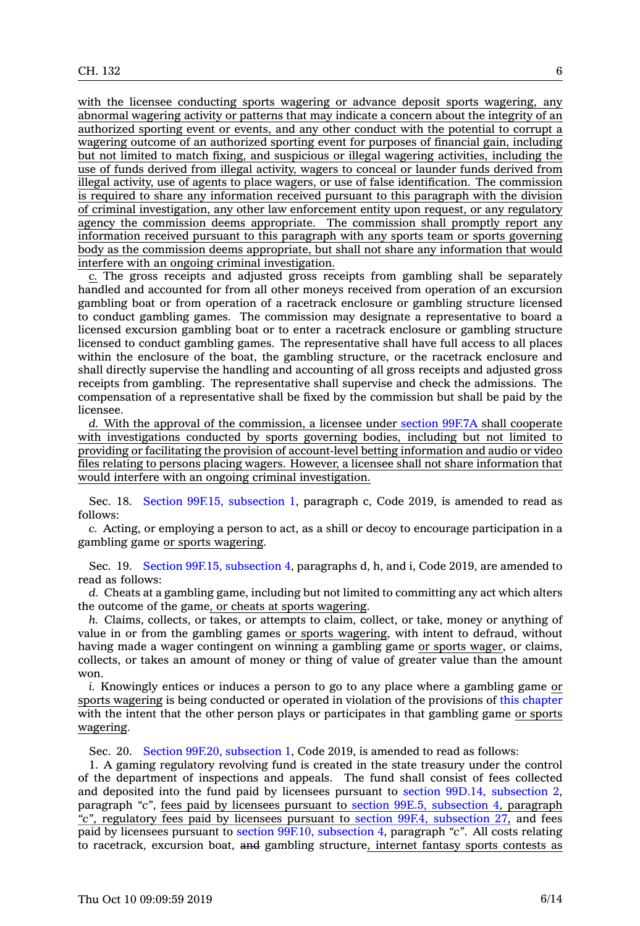with the licensee conducting sports wagering or advance deposit sports wagering, any abnormal wagering activity or patterns that may indicate <sup>a</sup> concern about the integrity of an authorized sporting event or events, and any other conduct with the potential to corrupt <sup>a</sup> wagering outcome of an authorized sporting event for purposes of financial gain, including but not limited to match fixing, and suspicious or illegal wagering activities, including the use of funds derived from illegal activity, wagers to conceal or launder funds derived from illegal activity, use of agents to place wagers, or use of false identification. The commission is required to share any information received pursuant to this paragraph with the division of criminal investigation, any other law enforcement entity upon request, or any regulatory agency the commission deems appropriate. The commission shall promptly report any information received pursuant to this paragraph with any sports team or sports governing body as the commission deems appropriate, but shall not share any information that would interfere with an ongoing criminal investigation.

*c.* The gross receipts and adjusted gross receipts from gambling shall be separately handled and accounted for from all other moneys received from operation of an excursion gambling boat or from operation of <sup>a</sup> racetrack enclosure or gambling structure licensed to conduct gambling games. The commission may designate <sup>a</sup> representative to board <sup>a</sup> licensed excursion gambling boat or to enter <sup>a</sup> racetrack enclosure or gambling structure licensed to conduct gambling games. The representative shall have full access to all places within the enclosure of the boat, the gambling structure, or the racetrack enclosure and shall directly supervise the handling and accounting of all gross receipts and adjusted gross receipts from gambling. The representative shall supervise and check the admissions. The compensation of <sup>a</sup> representative shall be fixed by the commission but shall be paid by the licensee.

*d.* With the approval of the commission, <sup>a</sup> licensee under [section](https://www.legis.iowa.gov/docs/code/2019/99F.7A.pdf) 99F.7A shall cooperate with investigations conducted by sports governing bodies, including but not limited to providing or facilitating the provision of account-level betting information and audio or video files relating to persons placing wagers. However, <sup>a</sup> licensee shall not share information that would interfere with an ongoing criminal investigation.

Sec. 18. Section 99F.15, [subsection](https://www.legis.iowa.gov/docs/code/2019/99F.15.pdf) 1, paragraph c, Code 2019, is amended to read as follows:

*c.* Acting, or employing <sup>a</sup> person to act, as <sup>a</sup> shill or decoy to encourage participation in <sup>a</sup> gambling game or sports wagering.

Sec. 19. Section 99F.15, [subsection](https://www.legis.iowa.gov/docs/code/2019/99F.15.pdf) 4, paragraphs d, h, and i, Code 2019, are amended to read as follows:

*d.* Cheats at <sup>a</sup> gambling game, including but not limited to committing any act which alters the outcome of the game, or cheats at sports wagering.

*h.* Claims, collects, or takes, or attempts to claim, collect, or take, money or anything of value in or from the gambling games or sports wagering, with intent to defraud, without having made <sup>a</sup> wager contingent on winning <sup>a</sup> gambling game or sports wager, or claims, collects, or takes an amount of money or thing of value of greater value than the amount won.

*i.* Knowingly entices or induces <sup>a</sup> person to go to any place where <sup>a</sup> gambling game or sports wagering is being conducted or operated in violation of the provisions of this [chapter](https://www.legis.iowa.gov/docs/code/2019/99F.pdf) with the intent that the other person plays or participates in that gambling game or sports wagering.

Sec. 20. Section 99F.20, [subsection](https://www.legis.iowa.gov/docs/code/2019/99F.20.pdf) 1, Code 2019, is amended to read as follows:

1. A gaming regulatory revolving fund is created in the state treasury under the control of the department of inspections and appeals. The fund shall consist of fees collected and deposited into the fund paid by licensees pursuant to section 99D.14, [subsection](https://www.legis.iowa.gov/docs/code/2019/99D.14.pdf) 2, paragraph *"c"*, fees paid by licensees pursuant to section 99E.5, [subsection](https://www.legis.iowa.gov/docs/code/2019/99E.5.pdf) 4, paragraph *"c"*, regulatory fees paid by licensees pursuant to section 99F.4, [subsection](https://www.legis.iowa.gov/docs/code/2019/99F.4.pdf) 27, and fees paid by licensees pursuant to section 99F.10, [subsection](https://www.legis.iowa.gov/docs/code/2019/99F.10.pdf) 4, paragraph *"c"*. All costs relating to racetrack, excursion boat, and gambling structure, internet fantasy sports contests as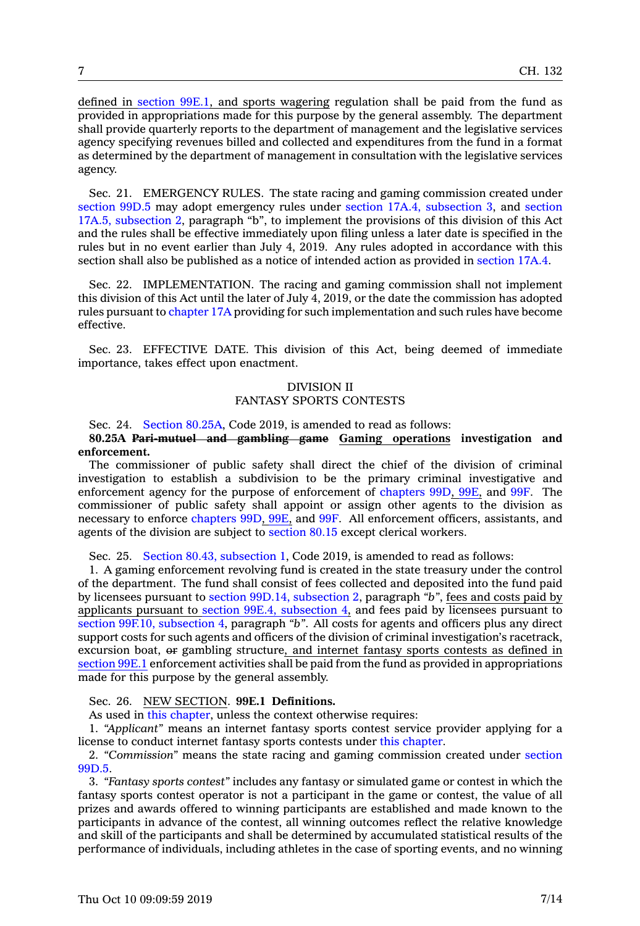defined in [section](https://www.legis.iowa.gov/docs/code/2019/99E.1.pdf) 99E.1, and sports wagering regulation shall be paid from the fund as provided in appropriations made for this purpose by the general assembly. The department shall provide quarterly reports to the department of management and the legislative services agency specifying revenues billed and collected and expenditures from the fund in <sup>a</sup> format as determined by the department of management in consultation with the legislative services agency.

Sec. 21. EMERGENCY RULES. The state racing and gaming commission created under [section](https://www.legis.iowa.gov/docs/code/2019/99D.5.pdf) 99D.5 may adopt emergency rules under section 17A.4, [subsection](https://www.legis.iowa.gov/docs/code/2019/17A.4.pdf) 3, and [section](https://www.legis.iowa.gov/docs/code/2019/17A.5.pdf) 17A.5, [subsection](https://www.legis.iowa.gov/docs/code/2019/17A.5.pdf) 2, paragraph "b", to implement the provisions of this division of this Act and the rules shall be effective immediately upon filing unless <sup>a</sup> later date is specified in the rules but in no event earlier than July 4, 2019. Any rules adopted in accordance with this section shall also be published as <sup>a</sup> notice of intended action as provided in [section](https://www.legis.iowa.gov/docs/code/2019/17A.4.pdf) 17A.4.

Sec. 22. IMPLEMENTATION. The racing and gaming commission shall not implement this division of this Act until the later of July 4, 2019, or the date the commission has adopted rules pursuant to [chapter](https://www.legis.iowa.gov/docs/code/2019/17A.pdf) 17A providing for such implementation and such rules have become effective.

Sec. 23. EFFECTIVE DATE. This division of this Act, being deemed of immediate importance, takes effect upon enactment.

# DIVISION II FANTASY SPORTS CONTESTS

Sec. 24. Section [80.25A](https://www.legis.iowa.gov/docs/code/2019/80.25A.pdf), Code 2019, is amended to read as follows:

## **80.25A Pari-mutuel and gambling game Gaming operations investigation and enforcement.**

The commissioner of public safety shall direct the chief of the division of criminal investigation to establish <sup>a</sup> subdivision to be the primary criminal investigative and enforcement agency for the purpose of enforcement of [chapters](https://www.legis.iowa.gov/docs/code/2019/99D.pdf) 99D, [99E](https://www.legis.iowa.gov/docs/code/2019/99E.pdf), and [99F](https://www.legis.iowa.gov/docs/code/2019/99F.pdf). The commissioner of public safety shall appoint or assign other agents to the division as necessary to enforce [chapters](https://www.legis.iowa.gov/docs/code/2019/99D.pdf) 99D, [99E](https://www.legis.iowa.gov/docs/code/2019/99E.pdf), and [99F](https://www.legis.iowa.gov/docs/code/2019/99F.pdf). All enforcement officers, assistants, and agents of the division are subject to [section](https://www.legis.iowa.gov/docs/code/2019/80.15.pdf) 80.15 except clerical workers.

Sec. 25. Section 80.43, [subsection](https://www.legis.iowa.gov/docs/code/2019/80.43.pdf) 1, Code 2019, is amended to read as follows:

1. A gaming enforcement revolving fund is created in the state treasury under the control of the department. The fund shall consist of fees collected and deposited into the fund paid by licensees pursuant to section 99D.14, [subsection](https://www.legis.iowa.gov/docs/code/2019/99D.14.pdf) 2, paragraph *"b"*, fees and costs paid by applicants pursuant to section 99E.4, [subsection](https://www.legis.iowa.gov/docs/code/2019/99E.4.pdf) 4, and fees paid by licensees pursuant to section 99F.10, [subsection](https://www.legis.iowa.gov/docs/code/2019/99F.10.pdf) 4, paragraph "b". All costs for agents and officers plus any direct support costs for such agents and officers of the division of criminal investigation's racetrack, excursion boat, or gambling structure, and internet fantasy sports contests as defined in [section](https://www.legis.iowa.gov/docs/code/2019/99E.1.pdf) 99E.1 enforcement activities shall be paid from the fund as provided in appropriations made for this purpose by the general assembly.

## Sec. 26. NEW SECTION. **99E.1 Definitions.**

As used in this [chapter](https://www.legis.iowa.gov/docs/code/2019/99E.pdf), unless the context otherwise requires:

1. *"Applicant"* means an internet fantasy sports contest service provider applying for <sup>a</sup> license to conduct internet fantasy sports contests under this [chapter](https://www.legis.iowa.gov/docs/code/2019/99E.pdf).

2. *"Commission"* means the state racing and gaming commission created under [section](https://www.legis.iowa.gov/docs/code/2019/99D.5.pdf) [99D.5](https://www.legis.iowa.gov/docs/code/2019/99D.5.pdf).

3. *"Fantasy sports contest"* includes any fantasy or simulated game or contest in which the fantasy sports contest operator is not <sup>a</sup> participant in the game or contest, the value of all prizes and awards offered to winning participants are established and made known to the participants in advance of the contest, all winning outcomes reflect the relative knowledge and skill of the participants and shall be determined by accumulated statistical results of the performance of individuals, including athletes in the case of sporting events, and no winning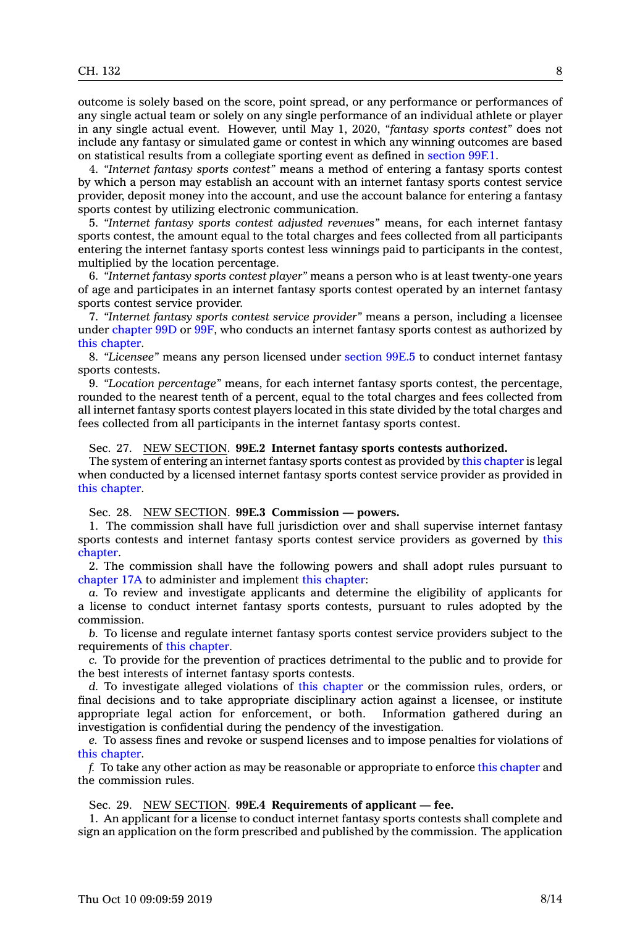outcome is solely based on the score, point spread, or any performance or performances of any single actual team or solely on any single performance of an individual athlete or player in any single actual event. However, until May 1, 2020, *"fantasy sports contest"* does not include any fantasy or simulated game or contest in which any winning outcomes are based on statistical results from <sup>a</sup> collegiate sporting event as defined in [section](https://www.legis.iowa.gov/docs/code/2019/99F.1.pdf) 99F.1.

4. *"Internet fantasy sports contest"* means <sup>a</sup> method of entering <sup>a</sup> fantasy sports contest by which <sup>a</sup> person may establish an account with an internet fantasy sports contest service provider, deposit money into the account, and use the account balance for entering <sup>a</sup> fantasy sports contest by utilizing electronic communication.

5. *"Internet fantasy sports contest adjusted revenues"* means, for each internet fantasy sports contest, the amount equal to the total charges and fees collected from all participants entering the internet fantasy sports contest less winnings paid to participants in the contest, multiplied by the location percentage.

6. *"Internet fantasy sports contest player"* means <sup>a</sup> person who is at least twenty-one years of age and participates in an internet fantasy sports contest operated by an internet fantasy sports contest service provider.

7. *"Internet fantasy sports contest service provider"* means <sup>a</sup> person, including <sup>a</sup> licensee under [chapter](https://www.legis.iowa.gov/docs/code/2019/99D.pdf) 99D or [99F](https://www.legis.iowa.gov/docs/code/2019/99F.pdf), who conducts an internet fantasy sports contest as authorized by this [chapter](https://www.legis.iowa.gov/docs/code/2019/99E.pdf).

8. *"Licensee"* means any person licensed under [section](https://www.legis.iowa.gov/docs/code/2019/99E.5.pdf) 99E.5 to conduct internet fantasy sports contests.

9. *"Location percentage"* means, for each internet fantasy sports contest, the percentage, rounded to the nearest tenth of <sup>a</sup> percent, equal to the total charges and fees collected from all internet fantasy sports contest players located in this state divided by the total charges and fees collected from all participants in the internet fantasy sports contest.

## Sec. 27. NEW SECTION. **99E.2 Internet fantasy sports contests authorized.**

The system of entering an internet fantasy sports contest as provided by this [chapter](https://www.legis.iowa.gov/docs/code/2019/99E.pdf) is legal when conducted by <sup>a</sup> licensed internet fantasy sports contest service provider as provided in this [chapter](https://www.legis.iowa.gov/docs/code/2019/99E.pdf).

Sec. 28. NEW SECTION. **99E.3 Commission — powers.**

1. The commission shall have full jurisdiction over and shall supervise internet fantasy sports contests and internet fantasy sports contest service providers as governed by [this](https://www.legis.iowa.gov/docs/code/2019/99E.pdf) [chapter](https://www.legis.iowa.gov/docs/code/2019/99E.pdf).

2. The commission shall have the following powers and shall adopt rules pursuant to [chapter](https://www.legis.iowa.gov/docs/code/2019/17A.pdf) 17A to administer and implement this [chapter](https://www.legis.iowa.gov/docs/code/2019/99E.pdf):

*a.* To review and investigate applicants and determine the eligibility of applicants for <sup>a</sup> license to conduct internet fantasy sports contests, pursuant to rules adopted by the commission.

*b.* To license and regulate internet fantasy sports contest service providers subject to the requirements of this [chapter](https://www.legis.iowa.gov/docs/code/2019/99E.pdf).

*c.* To provide for the prevention of practices detrimental to the public and to provide for the best interests of internet fantasy sports contests.

*d.* To investigate alleged violations of this [chapter](https://www.legis.iowa.gov/docs/code/2019/99E.pdf) or the commission rules, orders, or final decisions and to take appropriate disciplinary action against <sup>a</sup> licensee, or institute appropriate legal action for enforcement, or both. Information gathered during an investigation is confidential during the pendency of the investigation.

*e.* To assess fines and revoke or suspend licenses and to impose penalties for violations of this [chapter](https://www.legis.iowa.gov/docs/code/2019/99E.pdf).

*f.* To take any other action as may be reasonable or appropriate to enforce this [chapter](https://www.legis.iowa.gov/docs/code/2019/99E.pdf) and the commission rules.

Sec. 29. NEW SECTION. **99E.4 Requirements of applicant — fee.**

1. An applicant for <sup>a</sup> license to conduct internet fantasy sports contests shall complete and sign an application on the form prescribed and published by the commission. The application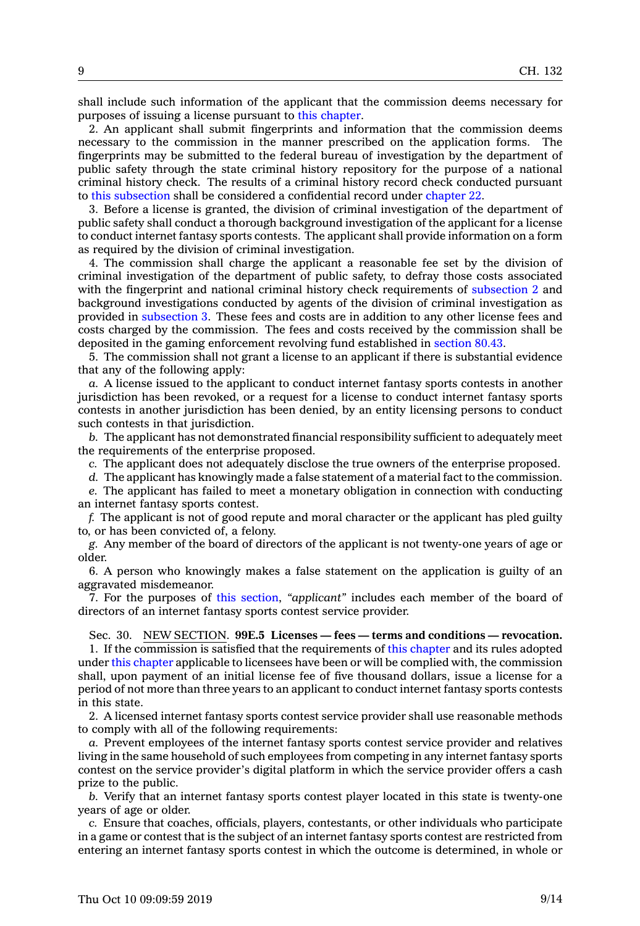shall include such information of the applicant that the commission deems necessary for purposes of issuing <sup>a</sup> license pursuant to this [chapter](https://www.legis.iowa.gov/docs/code/2019/99E.pdf).

2. An applicant shall submit fingerprints and information that the commission deems necessary to the commission in the manner prescribed on the application forms. The fingerprints may be submitted to the federal bureau of investigation by the department of public safety through the state criminal history repository for the purpose of <sup>a</sup> national criminal history check. The results of <sup>a</sup> criminal history record check conducted pursuant to this [subsection](https://www.legis.iowa.gov/docs/code/2019/99E.4.pdf) shall be considered <sup>a</sup> confidential record under [chapter](https://www.legis.iowa.gov/docs/code/2019/22.pdf) 22.

3. Before <sup>a</sup> license is granted, the division of criminal investigation of the department of public safety shall conduct <sup>a</sup> thorough background investigation of the applicant for <sup>a</sup> license to conduct internet fantasy sports contests. The applicant shall provide information on <sup>a</sup> form as required by the division of criminal investigation.

4. The commission shall charge the applicant <sup>a</sup> reasonable fee set by the division of criminal investigation of the department of public safety, to defray those costs associated with the fingerprint and national criminal history check requirements of [subsection](https://www.legis.iowa.gov/docs/code/2019/99E.4.pdf) 2 and background investigations conducted by agents of the division of criminal investigation as provided in [subsection](https://www.legis.iowa.gov/docs/code/2019/99E.4.pdf) 3. These fees and costs are in addition to any other license fees and costs charged by the commission. The fees and costs received by the commission shall be deposited in the gaming enforcement revolving fund established in [section](https://www.legis.iowa.gov/docs/code/2019/80.43.pdf) 80.43.

5. The commission shall not grant <sup>a</sup> license to an applicant if there is substantial evidence that any of the following apply:

*a.* A license issued to the applicant to conduct internet fantasy sports contests in another jurisdiction has been revoked, or <sup>a</sup> request for <sup>a</sup> license to conduct internet fantasy sports contests in another jurisdiction has been denied, by an entity licensing persons to conduct such contests in that jurisdiction.

*b.* The applicant has not demonstrated financial responsibility sufficient to adequately meet the requirements of the enterprise proposed.

*c.* The applicant does not adequately disclose the true owners of the enterprise proposed.

*d.* The applicant has knowingly made <sup>a</sup> false statement of <sup>a</sup> material fact to the commission.

*e.* The applicant has failed to meet <sup>a</sup> monetary obligation in connection with conducting an internet fantasy sports contest.

*f.* The applicant is not of good repute and moral character or the applicant has pled guilty to, or has been convicted of, <sup>a</sup> felony.

*g.* Any member of the board of directors of the applicant is not twenty-one years of age or older.

6. A person who knowingly makes <sup>a</sup> false statement on the application is guilty of an aggravated misdemeanor.

7. For the purposes of this [section](https://www.legis.iowa.gov/docs/code/2019/99E.4.pdf), *"applicant"* includes each member of the board of directors of an internet fantasy sports contest service provider.

#### Sec. 30. NEW SECTION. **99E.5 Licenses — fees — terms and conditions — revocation.**

1. If the commission is satisfied that the requirements of this [chapter](https://www.legis.iowa.gov/docs/code/2019/99E.pdf) and its rules adopted under this [chapter](https://www.legis.iowa.gov/docs/code/2019/99E.pdf) applicable to licensees have been or will be complied with, the commission shall, upon payment of an initial license fee of five thousand dollars, issue <sup>a</sup> license for <sup>a</sup> period of not more than three years to an applicant to conduct internet fantasy sports contests in this state.

2. A licensed internet fantasy sports contest service provider shall use reasonable methods to comply with all of the following requirements:

*a.* Prevent employees of the internet fantasy sports contest service provider and relatives living in the same household of such employees from competing in any internet fantasy sports contest on the service provider's digital platform in which the service provider offers <sup>a</sup> cash prize to the public.

*b.* Verify that an internet fantasy sports contest player located in this state is twenty-one years of age or older.

*c.* Ensure that coaches, officials, players, contestants, or other individuals who participate in <sup>a</sup> game or contest that is the subject of an internet fantasy sports contest are restricted from entering an internet fantasy sports contest in which the outcome is determined, in whole or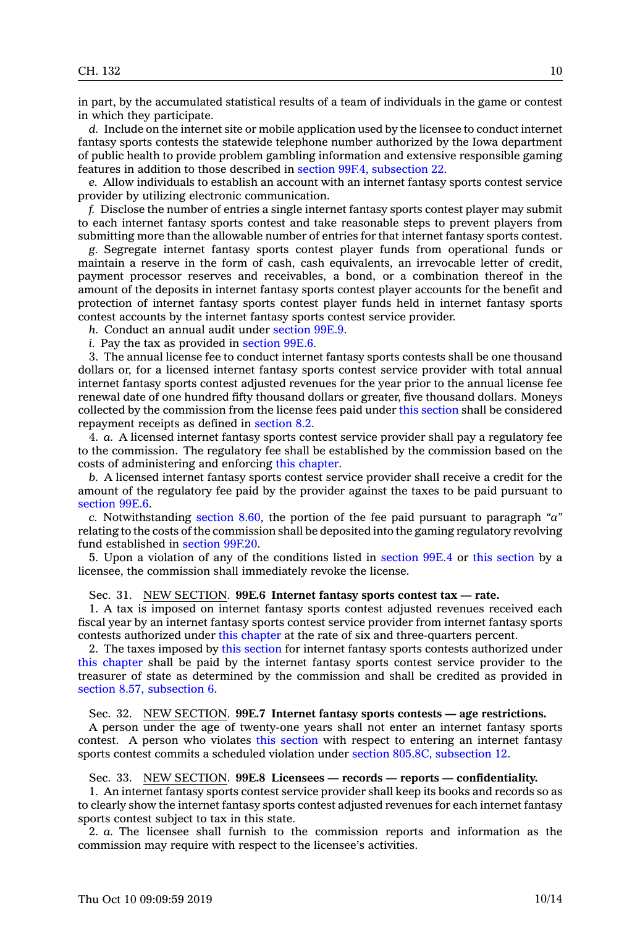in part, by the accumulated statistical results of <sup>a</sup> team of individuals in the game or contest in which they participate.

*d.* Include on the internet site or mobile application used by the licensee to conduct internet fantasy sports contests the statewide telephone number authorized by the Iowa department of public health to provide problem gambling information and extensive responsible gaming features in addition to those described in section 99F.4, [subsection](https://www.legis.iowa.gov/docs/code/2019/99F.4.pdf) 22.

*e.* Allow individuals to establish an account with an internet fantasy sports contest service provider by utilizing electronic communication.

*f.* Disclose the number of entries <sup>a</sup> single internet fantasy sports contest player may submit to each internet fantasy sports contest and take reasonable steps to prevent players from submitting more than the allowable number of entries for that internet fantasy sports contest.

*g.* Segregate internet fantasy sports contest player funds from operational funds or maintain <sup>a</sup> reserve in the form of cash, cash equivalents, an irrevocable letter of credit, payment processor reserves and receivables, <sup>a</sup> bond, or <sup>a</sup> combination thereof in the amount of the deposits in internet fantasy sports contest player accounts for the benefit and protection of internet fantasy sports contest player funds held in internet fantasy sports contest accounts by the internet fantasy sports contest service provider.

*h.* Conduct an annual audit under [section](https://www.legis.iowa.gov/docs/code/2019/99E.9.pdf) 99E.9.

*i.* Pay the tax as provided in [section](https://www.legis.iowa.gov/docs/code/2019/99E.6.pdf) 99E.6.

3. The annual license fee to conduct internet fantasy sports contests shall be one thousand dollars or, for <sup>a</sup> licensed internet fantasy sports contest service provider with total annual internet fantasy sports contest adjusted revenues for the year prior to the annual license fee renewal date of one hundred fifty thousand dollars or greater, five thousand dollars. Moneys collected by the commission from the license fees paid under this [section](https://www.legis.iowa.gov/docs/code/2019/99E.5.pdf) shall be considered repayment receipts as defined in [section](https://www.legis.iowa.gov/docs/code/2019/8.2.pdf) 8.2.

4. *a.* A licensed internet fantasy sports contest service provider shall pay <sup>a</sup> regulatory fee to the commission. The regulatory fee shall be established by the commission based on the costs of administering and enforcing this [chapter](https://www.legis.iowa.gov/docs/code/2019/99E.pdf).

*b.* A licensed internet fantasy sports contest service provider shall receive <sup>a</sup> credit for the amount of the regulatory fee paid by the provider against the taxes to be paid pursuant to [section](https://www.legis.iowa.gov/docs/code/2019/99E.6.pdf) 99E.6.

*c.* Notwithstanding [section](https://www.legis.iowa.gov/docs/code/2019/8.60.pdf) 8.60, the portion of the fee paid pursuant to paragraph *"a"* relating to the costs of the commission shall be deposited into the gaming regulatory revolving fund established in [section](https://www.legis.iowa.gov/docs/code/2019/99F.20.pdf) 99F.20.

5. Upon <sup>a</sup> violation of any of the conditions listed in [section](https://www.legis.iowa.gov/docs/code/2019/99E.4.pdf) 99E.4 or this [section](https://www.legis.iowa.gov/docs/code/2019/99E.5.pdf) by <sup>a</sup> licensee, the commission shall immediately revoke the license.

Sec. 31. NEW SECTION. **99E.6 Internet fantasy sports contest tax — rate.**

1. A tax is imposed on internet fantasy sports contest adjusted revenues received each fiscal year by an internet fantasy sports contest service provider from internet fantasy sports contests authorized under this [chapter](https://www.legis.iowa.gov/docs/code/2019/99E.pdf) at the rate of six and three-quarters percent.

2. The taxes imposed by this [section](https://www.legis.iowa.gov/docs/code/2019/99E.6.pdf) for internet fantasy sports contests authorized under this [chapter](https://www.legis.iowa.gov/docs/code/2019/99E.pdf) shall be paid by the internet fantasy sports contest service provider to the treasurer of state as determined by the commission and shall be credited as provided in section 8.57, [subsection](https://www.legis.iowa.gov/docs/code/2019/8.57.pdf) 6.

## Sec. 32. NEW SECTION. **99E.7 Internet fantasy sports contests — age restrictions.**

A person under the age of twenty-one years shall not enter an internet fantasy sports contest. A person who violates this [section](https://www.legis.iowa.gov/docs/code/2019/99E.7.pdf) with respect to entering an internet fantasy sports contest commits <sup>a</sup> scheduled violation under section 805.8C, [subsection](https://www.legis.iowa.gov/docs/code/2019/805.8C.pdf) 12.

# Sec. 33. NEW SECTION. **99E.8 Licensees — records — reports — confidentiality.**

1. An internet fantasy sports contest service provider shall keep its books and records so as to clearly show the internet fantasy sports contest adjusted revenues for each internet fantasy sports contest subject to tax in this state.

2. *a.* The licensee shall furnish to the commission reports and information as the commission may require with respect to the licensee's activities.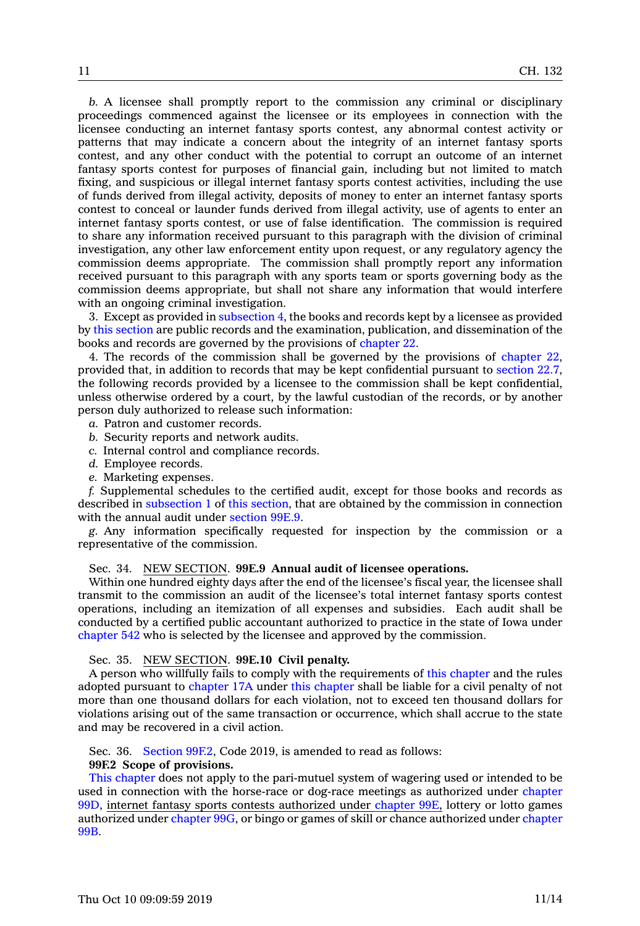*b.* A licensee shall promptly report to the commission any criminal or disciplinary proceedings commenced against the licensee or its employees in connection with the licensee conducting an internet fantasy sports contest, any abnormal contest activity or patterns that may indicate <sup>a</sup> concern about the integrity of an internet fantasy sports contest, and any other conduct with the potential to corrupt an outcome of an internet fantasy sports contest for purposes of financial gain, including but not limited to match fixing, and suspicious or illegal internet fantasy sports contest activities, including the use of funds derived from illegal activity, deposits of money to enter an internet fantasy sports contest to conceal or launder funds derived from illegal activity, use of agents to enter an internet fantasy sports contest, or use of false identification. The commission is required to share any information received pursuant to this paragraph with the division of criminal investigation, any other law enforcement entity upon request, or any regulatory agency the commission deems appropriate. The commission shall promptly report any information received pursuant to this paragraph with any sports team or sports governing body as the commission deems appropriate, but shall not share any information that would interfere with an ongoing criminal investigation.

3. Except as provided in [subsection](https://www.legis.iowa.gov/docs/code/2019/99E.8.pdf) 4, the books and records kept by <sup>a</sup> licensee as provided by this [section](https://www.legis.iowa.gov/docs/code/2019/99E.8.pdf) are public records and the examination, publication, and dissemination of the books and records are governed by the provisions of [chapter](https://www.legis.iowa.gov/docs/code/2019/22.pdf) 22.

4. The records of the commission shall be governed by the provisions of [chapter](https://www.legis.iowa.gov/docs/code/2019/22.pdf) 22, provided that, in addition to records that may be kept confidential pursuant to [section](https://www.legis.iowa.gov/docs/code/2019/22.7.pdf) 22.7, the following records provided by <sup>a</sup> licensee to the commission shall be kept confidential, unless otherwise ordered by <sup>a</sup> court, by the lawful custodian of the records, or by another person duly authorized to release such information:

- *a.* Patron and customer records.
- *b.* Security reports and network audits.
- *c.* Internal control and compliance records.
- *d.* Employee records.
- *e.* Marketing expenses.

*f.* Supplemental schedules to the certified audit, except for those books and records as described in [subsection](https://www.legis.iowa.gov/docs/code/2019/99E.8.pdf) 1 of this [section](https://www.legis.iowa.gov/docs/code/2019/99E.8.pdf), that are obtained by the commission in connection with the annual audit under [section](https://www.legis.iowa.gov/docs/code/2019/99E.9.pdf) 99E.9.

*g.* Any information specifically requested for inspection by the commission or <sup>a</sup> representative of the commission.

Sec. 34. NEW SECTION. **99E.9 Annual audit of licensee operations.**

Within one hundred eighty days after the end of the licensee's fiscal year, the licensee shall transmit to the commission an audit of the licensee's total internet fantasy sports contest operations, including an itemization of all expenses and subsidies. Each audit shall be conducted by <sup>a</sup> certified public accountant authorized to practice in the state of Iowa under [chapter](https://www.legis.iowa.gov/docs/code/2019/542.pdf) 542 who is selected by the licensee and approved by the commission.

Sec. 35. NEW SECTION. **99E.10 Civil penalty.**

A person who willfully fails to comply with the requirements of this [chapter](https://www.legis.iowa.gov/docs/code/2019/99E.pdf) and the rules adopted pursuant to [chapter](https://www.legis.iowa.gov/docs/code/2019/17A.pdf) 17A under this [chapter](https://www.legis.iowa.gov/docs/code/2019/99E.pdf) shall be liable for <sup>a</sup> civil penalty of not more than one thousand dollars for each violation, not to exceed ten thousand dollars for violations arising out of the same transaction or occurrence, which shall accrue to the state and may be recovered in <sup>a</sup> civil action.

Sec. 36. [Section](https://www.legis.iowa.gov/docs/code/2019/99F.2.pdf) 99F.2, Code 2019, is amended to read as follows:

#### **99F.2 Scope of provisions.**

This [chapter](https://www.legis.iowa.gov/docs/code/2019/99F.pdf) does not apply to the pari-mutuel system of wagering used or intended to be used in connection with the horse-race or dog-race meetings as authorized under [chapter](https://www.legis.iowa.gov/docs/code/2019/99D.pdf) [99D](https://www.legis.iowa.gov/docs/code/2019/99D.pdf), internet fantasy sports contests authorized under [chapter](https://www.legis.iowa.gov/docs/code/2019/99E.pdf) 99E, lottery or lotto games authorized under [chapter](https://www.legis.iowa.gov/docs/code/2019/99G.pdf) 99G, or bingo or games of skill or chance authorized under [chapter](https://www.legis.iowa.gov/docs/code/2019/99B.pdf) [99B](https://www.legis.iowa.gov/docs/code/2019/99B.pdf).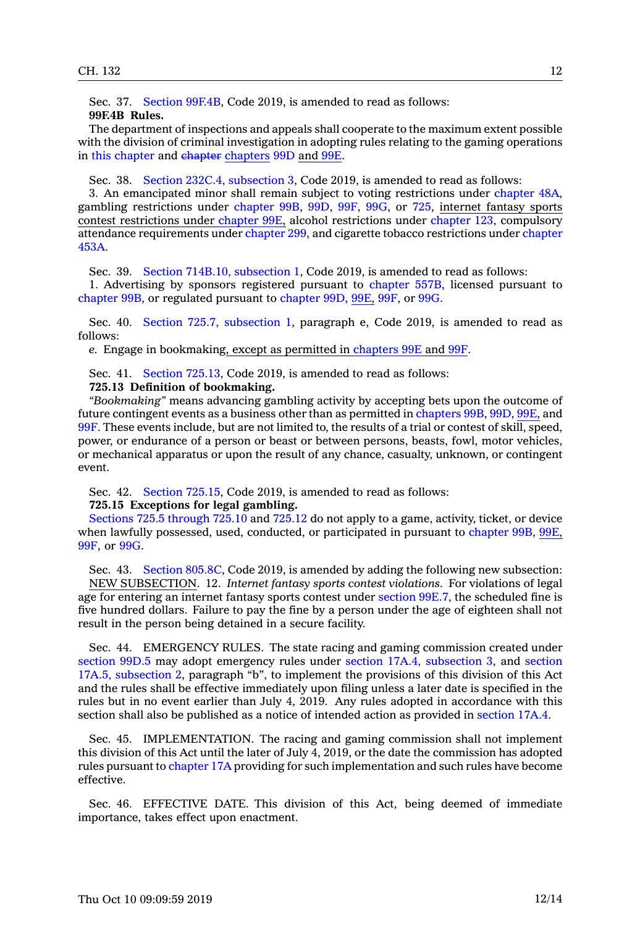Sec. 37. Section [99F.4B](https://www.legis.iowa.gov/docs/code/2019/99F.4B.pdf), Code 2019, is amended to read as follows:

## **99F.4B Rules.**

The department of inspections and appeals shall cooperate to the maximum extent possible with the division of criminal investigation in adopting rules relating to the gaming operations in this [chapter](https://www.legis.iowa.gov/docs/code/2019/99F.pdf) and chapter [chapters](https://www.legis.iowa.gov/docs/code/2019/99D.pdf) 99D and [99E](https://www.legis.iowa.gov/docs/code/2019/99E.pdf).

Sec. 38. Section 232C.4, [subsection](https://www.legis.iowa.gov/docs/code/2019/232C.4.pdf) 3, Code 2019, is amended to read as follows:

3. An emancipated minor shall remain subject to voting restrictions under [chapter](https://www.legis.iowa.gov/docs/code/2019/48A.pdf) 48A, gambling restrictions under [chapter](https://www.legis.iowa.gov/docs/code/2019/99B.pdf) 99B, [99D](https://www.legis.iowa.gov/docs/code/2019/99D.pdf), [99F](https://www.legis.iowa.gov/docs/code/2019/99F.pdf), [99G](https://www.legis.iowa.gov/docs/code/2019/99G.pdf), or [725](https://www.legis.iowa.gov/docs/code/2019/725.pdf), internet fantasy sports contest restrictions under [chapter](https://www.legis.iowa.gov/docs/code/2019/99E.pdf) 99E, alcohol restrictions under [chapter](https://www.legis.iowa.gov/docs/code/2019/123.pdf) 123, compulsory attendance requirements under [chapter](https://www.legis.iowa.gov/docs/code/2019/299.pdf) 299, and cigarette tobacco restrictions under [chapter](https://www.legis.iowa.gov/docs/code/2019/453A.pdf) [453A](https://www.legis.iowa.gov/docs/code/2019/453A.pdf).

Sec. 39. Section 714B.10, [subsection](https://www.legis.iowa.gov/docs/code/2019/714B.10.pdf) 1, Code 2019, is amended to read as follows: 1. Advertising by sponsors registered pursuant to [chapter](https://www.legis.iowa.gov/docs/code/2019/557B.pdf) 557B, licensed pursuant to [chapter](https://www.legis.iowa.gov/docs/code/2019/99B.pdf) 99B, or regulated pursuant to [chapter](https://www.legis.iowa.gov/docs/code/2019/99D.pdf) 99D, [99E](https://www.legis.iowa.gov/docs/code/2019/99E.pdf), [99F](https://www.legis.iowa.gov/docs/code/2019/99F.pdf), or [99G](https://www.legis.iowa.gov/docs/code/2019/99G.pdf).

Sec. 40. Section 725.7, [subsection](https://www.legis.iowa.gov/docs/code/2019/725.7.pdf) 1, paragraph e, Code 2019, is amended to read as follows:

*e.* Engage in bookmaking, except as permitted in [chapters](https://www.legis.iowa.gov/docs/code/2019/99E.pdf) 99E and [99F](https://www.legis.iowa.gov/docs/code/2019/99F.pdf).

Sec. 41. Section [725.13](https://www.legis.iowa.gov/docs/code/2019/725.13.pdf), Code 2019, is amended to read as follows:

# **725.13 Definition of bookmaking.**

*"Bookmaking"* means advancing gambling activity by accepting bets upon the outcome of future contingent events as <sup>a</sup> business other than as permitted in [chapters](https://www.legis.iowa.gov/docs/code/2019/99B.pdf) 99B, [99D](https://www.legis.iowa.gov/docs/code/2019/99D.pdf), [99E](https://www.legis.iowa.gov/docs/code/2019/99E.pdf), and [99F](https://www.legis.iowa.gov/docs/code/2019/99F.pdf). These events include, but are not limited to, the results of <sup>a</sup> trial or contest of skill, speed, power, or endurance of <sup>a</sup> person or beast or between persons, beasts, fowl, motor vehicles, or mechanical apparatus or upon the result of any chance, casualty, unknown, or contingent event.

Sec. 42. Section [725.15](https://www.legis.iowa.gov/docs/code/2019/725.15.pdf), Code 2019, is amended to read as follows:

## **725.15 Exceptions for legal gambling.**

Sections 725.5 [through](https://www.legis.iowa.gov/docs/code/2019/725.5.pdf) 725.10 and [725.12](https://www.legis.iowa.gov/docs/code/2019/725.12.pdf) do not apply to <sup>a</sup> game, activity, ticket, or device when lawfully possessed, used, conducted, or participated in pursuant to [chapter](https://www.legis.iowa.gov/docs/code/2019/99B.pdf) 99B, [99E](https://www.legis.iowa.gov/docs/code/2019/99E.pdf), [99F](https://www.legis.iowa.gov/docs/code/2019/99F.pdf), or [99G](https://www.legis.iowa.gov/docs/code/2019/99G.pdf).

Sec. 43. Section [805.8C](https://www.legis.iowa.gov/docs/code/2019/805.8C.pdf), Code 2019, is amended by adding the following new subsection: NEW SUBSECTION. 12. *Internet fantasy sports contest violations.* For violations of legal age for entering an internet fantasy sports contest under [section](https://www.legis.iowa.gov/docs/code/2019/99E.7.pdf) 99E.7, the scheduled fine is five hundred dollars. Failure to pay the fine by <sup>a</sup> person under the age of eighteen shall not result in the person being detained in <sup>a</sup> secure facility.

Sec. 44. EMERGENCY RULES. The state racing and gaming commission created under [section](https://www.legis.iowa.gov/docs/code/2019/99D.5.pdf) 99D.5 may adopt emergency rules under section 17A.4, [subsection](https://www.legis.iowa.gov/docs/code/2019/17A.4.pdf) 3, and [section](https://www.legis.iowa.gov/docs/code/2019/17A.5.pdf) 17A.5, [subsection](https://www.legis.iowa.gov/docs/code/2019/17A.5.pdf) 2, paragraph "b", to implement the provisions of this division of this Act and the rules shall be effective immediately upon filing unless <sup>a</sup> later date is specified in the rules but in no event earlier than July 4, 2019. Any rules adopted in accordance with this section shall also be published as <sup>a</sup> notice of intended action as provided in [section](https://www.legis.iowa.gov/docs/code/2019/17A.4.pdf) 17A.4.

Sec. 45. IMPLEMENTATION. The racing and gaming commission shall not implement this division of this Act until the later of July 4, 2019, or the date the commission has adopted rules pursuant to [chapter](https://www.legis.iowa.gov/docs/code/2019/17A.pdf) 17A providing for such implementation and such rules have become effective.

Sec. 46. EFFECTIVE DATE. This division of this Act, being deemed of immediate importance, takes effect upon enactment.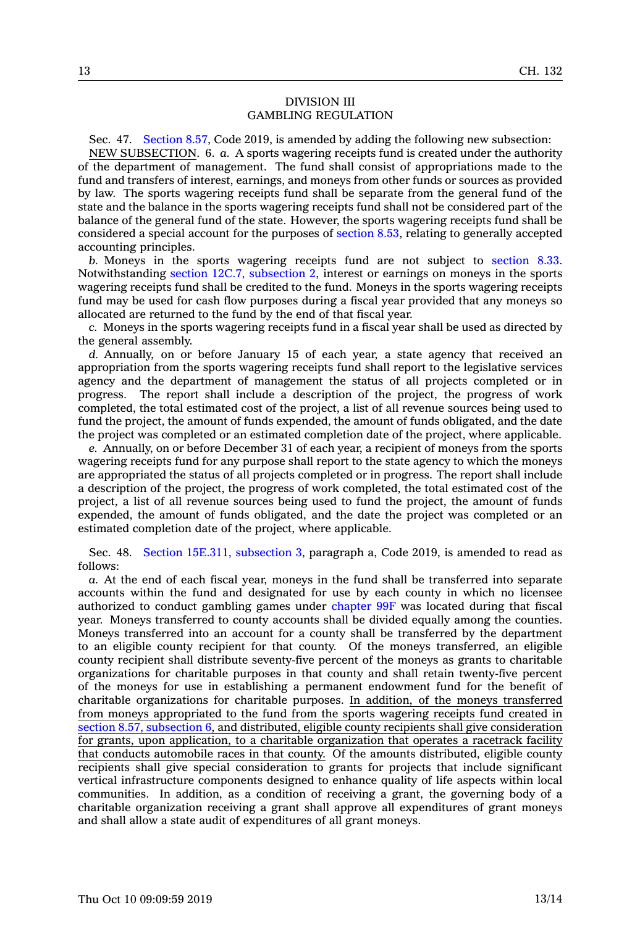## DIVISION III GAMBLING REGULATION

Sec. 47. [Section](https://www.legis.iowa.gov/docs/code/2019/8.57.pdf) 8.57, Code 2019, is amended by adding the following new subsection: NEW SUBSECTION. 6. *a.* A sports wagering receipts fund is created under the authority of the department of management. The fund shall consist of appropriations made to the fund and transfers of interest, earnings, and moneys from other funds or sources as provided by law. The sports wagering receipts fund shall be separate from the general fund of the state and the balance in the sports wagering receipts fund shall not be considered part of the balance of the general fund of the state. However, the sports wagering receipts fund shall be considered <sup>a</sup> special account for the purposes of [section](https://www.legis.iowa.gov/docs/code/2019/8.53.pdf) 8.53, relating to generally accepted accounting principles.

*b.* Moneys in the sports wagering receipts fund are not subject to [section](https://www.legis.iowa.gov/docs/code/2019/8.33.pdf) 8.33. Notwithstanding section 12C.7, [subsection](https://www.legis.iowa.gov/docs/code/2019/12C.7.pdf) 2, interest or earnings on moneys in the sports wagering receipts fund shall be credited to the fund. Moneys in the sports wagering receipts fund may be used for cash flow purposes during <sup>a</sup> fiscal year provided that any moneys so allocated are returned to the fund by the end of that fiscal year.

*c.* Moneys in the sports wagering receipts fund in <sup>a</sup> fiscal year shall be used as directed by the general assembly.

*d.* Annually, on or before January 15 of each year, <sup>a</sup> state agency that received an appropriation from the sports wagering receipts fund shall report to the legislative services agency and the department of management the status of all projects completed or in progress. The report shall include <sup>a</sup> description of the project, the progress of work completed, the total estimated cost of the project, <sup>a</sup> list of all revenue sources being used to fund the project, the amount of funds expended, the amount of funds obligated, and the date the project was completed or an estimated completion date of the project, where applicable.

*e.* Annually, on or before December 31 of each year, <sup>a</sup> recipient of moneys from the sports wagering receipts fund for any purpose shall report to the state agency to which the moneys are appropriated the status of all projects completed or in progress. The report shall include <sup>a</sup> description of the project, the progress of work completed, the total estimated cost of the project, <sup>a</sup> list of all revenue sources being used to fund the project, the amount of funds expended, the amount of funds obligated, and the date the project was completed or an estimated completion date of the project, where applicable.

Sec. 48. Section 15E.311, [subsection](https://www.legis.iowa.gov/docs/code/2019/15E.311.pdf) 3, paragraph a, Code 2019, is amended to read as follows:

*a.* At the end of each fiscal year, moneys in the fund shall be transferred into separate accounts within the fund and designated for use by each county in which no licensee authorized to conduct gambling games under [chapter](https://www.legis.iowa.gov/docs/code/2019/99F.pdf) 99F was located during that fiscal year. Moneys transferred to county accounts shall be divided equally among the counties. Moneys transferred into an account for <sup>a</sup> county shall be transferred by the department to an eligible county recipient for that county. Of the moneys transferred, an eligible county recipient shall distribute seventy-five percent of the moneys as grants to charitable organizations for charitable purposes in that county and shall retain twenty-five percent of the moneys for use in establishing <sup>a</sup> permanent endowment fund for the benefit of charitable organizations for charitable purposes. In addition, of the moneys transferred from moneys appropriated to the fund from the sports wagering receipts fund created in section 8.57, [subsection](https://www.legis.iowa.gov/docs/code/2019/8.57.pdf) 6, and distributed, eligible county recipients shall give consideration for grants, upon application, to <sup>a</sup> charitable organization that operates <sup>a</sup> racetrack facility that conducts automobile races in that county. Of the amounts distributed, eligible county recipients shall give special consideration to grants for projects that include significant vertical infrastructure components designed to enhance quality of life aspects within local communities. In addition, as <sup>a</sup> condition of receiving <sup>a</sup> grant, the governing body of <sup>a</sup> charitable organization receiving <sup>a</sup> grant shall approve all expenditures of grant moneys and shall allow <sup>a</sup> state audit of expenditures of all grant moneys.